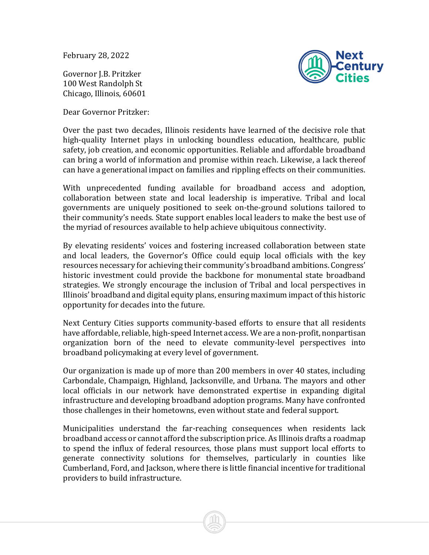February 28, 2022

Governor J.B. Pritzker 100 West Randolph St Chicago, Illinois, 60601



Dear Governor Pritzker:

Over the past two decades, Illinois residents have learned of the decisive role that high-quality Internet plays in unlocking boundless education, healthcare, public safety, job creation, and economic opportunities. Reliable and affordable broadband can bring a world of information and promise within reach. Likewise, a lack thereof can have a generational impact on families and rippling effects on their communities.

With unprecedented funding available for broadband access and adoption, collaboration between state and local leadership is imperative. Tribal and local governments are uniquely positioned to seek on-the-ground solutions tailored to their community's needs. State support enables local leaders to make the best use of the myriad of resources available to help achieve ubiquitous connectivity.

By elevating residents' voices and fostering increased collaboration between state and local leaders, the Governor's Office could equip local officials with the key resources necessary for achieving their community's broadband ambitions. Congress' historic investment could provide the backbone for monumental state broadband strategies. We strongly encourage the inclusion of Tribal and local perspectives in Illinois' broadband and digital equity plans, ensuring maximum impact of this historic opportunity for decades into the future.

Next Century Cities supports community-based efforts to ensure that all residents have affordable, reliable, high-speed Internet access. We are a non-profit, nonpartisan organization born of the need to elevate community-level perspectives into broadband policymaking at every level of government.

Our organization is made up of more than 200 members in over 40 states, including Carbondale, Champaign, Highland, Jacksonville, and Urbana. The mayors and other local officials in our network have demonstrated expertise in expanding digital infrastructure and developing broadband adoption programs. Many have confronted those challenges in their hometowns, even without state and federal support.

Municipalities understand the far-reaching consequences when residents lack broadband access or cannot afford the subscription price. As Illinois drafts a roadmap to spend the influx of federal resources, those plans must support local efforts to generate connectivity solutions for themselves, particularly in counties like Cumberland, Ford, and Jackson, where there is little financial incentive for traditional providers to build infrastructure.